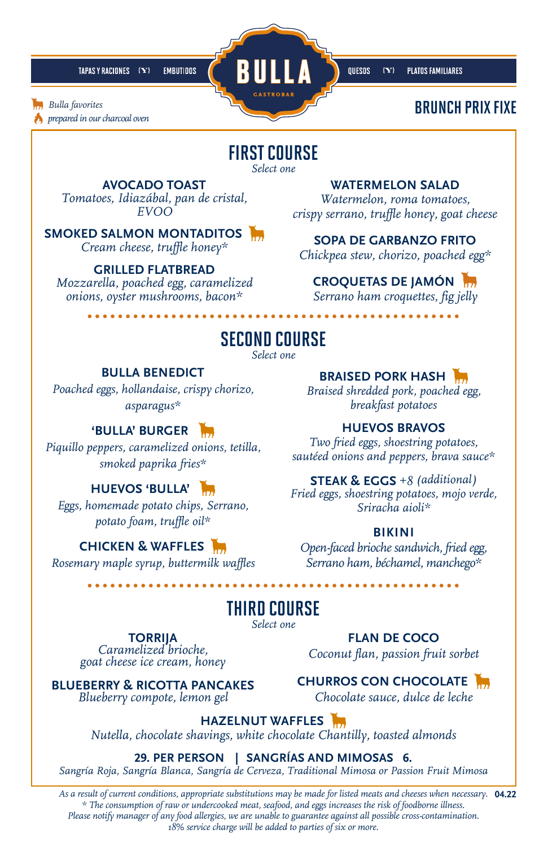

brunch Prix Fixe

 *prepared in our charcoal oven Bulla favorites* 

## FIRST COURSE

*Select one* 

*Tomatoes, Idiazábal, pan de cristal, Watermelon, roma tomatoes,* 

**SMOKED SALMON MONTADITOS SMOKED SALMON MONTADITOS SOPA DE GARBANZO FRITO** *Cream cheese, truffle honey\* Chickpea stew, chorizo, poached egg\** 

### **GRILLED FLATBREAD**

*Mozzarella, poached egg, caramelized* **CROQUETAS DE JAMÓN** *Internations, oyster mushrooms, bacon\* Serrano ham croquettes, fig jelly onions, oyster mushrooms, bacon\** 

**AVOCADO TOAST WATERMELON SALAD**<br> *es, Idiazábal, pan de cristal,* Watermelon, roma tomatoes, *EVO crispy serrano, truffle honey, goat cheese* 

### **CROQUETAS DE JAMÓN**

## second COURSE

•••••••••••••••••••••••••••••••••••••••••••••••••

*Select one* 

**BULLA BENEDICT BRAISED PORK HASH <b>Poached eggs, hollandaise, crispy chorizo**, Braised shredded pork, poached egg,

### **BULLA' BURGER**

**HUEVOS BRAVOS 'BULLA' BURGER** *Two fried eggs, shoestring potatoes, Piquillo peppers, caramelized onions, tetilla, sautéed onions and peppers, brava sauce\* smoked paprika fries\** 

### **HUEVOS 'BULLA'**

*potato foam, truffle oil\** **BIKINI** 

### **CHICKEN & WAFFLES**

*Rosemary maple syrup, buttermilk waffles Serrano ham, béchamel, manchego\** 

**BRAISED PORK HASH** 

*asparagus\* breakfast potatoes* 

### **STEAK & EGGS**  $+8$  (additional)

**STEAK & EGGS** *+8 (additional)* **HUEVOS 'BULLA'** *Fried eggs, shoestring potatoes, mojo verde, Eggs, homemade potato chips, Serrano, Sriracha aioli\** 

 $Open$ -faced brioche sandwich, fried egg,

third COURSE *Select one* 

•••••••••••••••••••••••••••••••••••••••••••••••••

**TORRIJA FLAN DE COCO**<br>Caramelized brioche, Coconut flan nassion frui

**CHURROS CON CHOCOLATE**<br>Blueberry compote, lemon gel *Chocolate sauce, dulce de leche Blueberry compote, lemon gel* 

*Caramelized brioche, Coconut flan, passion fruit sorbet goat cheese ice cream, honey* 

**CHURROS CON CHOCOLATE** 

 **HAZELNUT WAFFLES** 

*Nutella, chocolate shavings, white chocolate Chantilly, toasted almonds* 

### **29. PER PERSON | SANGRÍAS AND MIMOSAS 6.**

*Sangría Roja, Sangría Blanca, Sangría de Cerveza, Traditional Mimosa or Passion Fruit Mimosa* 

*As a result of current conditions, appropriate substitutions may be made for listed meats and cheeses when necessary.* **04.22**  *\* The consumption of raw or undercooked meat, seafood, and eggs increases the risk of foodborne illness. Please notify manager of any food allergies, we are unable to guarantee against all possible cross-contamination. 18% service charge will be added to parties of six or more.*